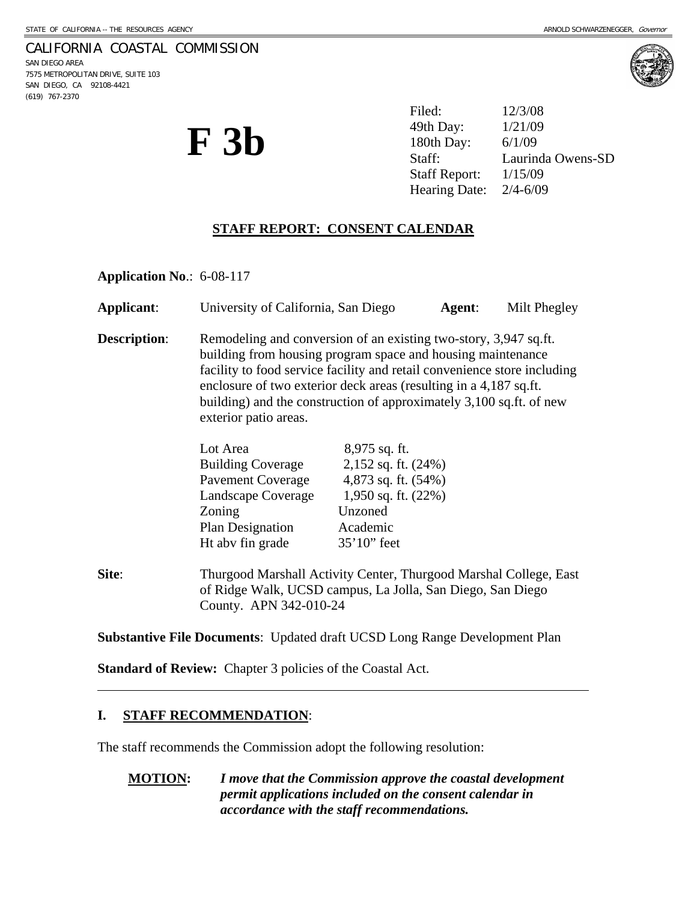#### CALIFORNIA COASTAL COMMISSION

SAN DIEGO AREA 7575 METROPOLITAN DRIVE, SUITE 103 SAN DIEGO, CA 92108-4421 (619) 767-2370



**F** 3b <sup>49th Day:  $\frac{1/21/09}{180 \text{th Day:}}$   $\frac{1/21/09}{6/1/09}$ <br>Staff: Laurind</sup> Filed: 12/3/08 49th Day: Laurinda Owens-SD Staff Report: 1/15/09 Hearing Date: 2/4-6/09

# **STAFF REPORT: CONSENT CALENDAR**

**Application No**.: 6-08-117

| <b>Applicant:</b>   | University of California, San Diego                                                                                                                                                                                                                                                                                                                                              |                                                                                                                                   | Agent: | Milt Phegley |
|---------------------|----------------------------------------------------------------------------------------------------------------------------------------------------------------------------------------------------------------------------------------------------------------------------------------------------------------------------------------------------------------------------------|-----------------------------------------------------------------------------------------------------------------------------------|--------|--------------|
| <b>Description:</b> | Remodeling and conversion of an existing two-story, 3,947 sq.ft.<br>building from housing program space and housing maintenance<br>facility to food service facility and retail convenience store including<br>enclosure of two exterior deck areas (resulting in a 4,187 sq.ft.<br>building) and the construction of approximately 3,100 sq.ft. of new<br>exterior patio areas. |                                                                                                                                   |        |              |
|                     | Lot Area<br><b>Building Coverage</b><br><b>Pavement Coverage</b><br>Landscape Coverage<br>Zoning<br>Plan Designation<br>Ht abv fin grade                                                                                                                                                                                                                                         | 8,975 sq. ft.<br>$2,152$ sq. ft. $(24%)$<br>4,873 sq. ft. (54%)<br>1,950 sq. ft. $(22\%)$<br>Unzoned<br>Academic<br>$35'10'$ feet |        |              |
| Site:               | Thurgood Marshall Activity Center, Thurgood Marshal College, East<br>of Ridge Walk, UCSD campus, La Jolla, San Diego, San Diego<br>County. APN 342-010-24                                                                                                                                                                                                                        |                                                                                                                                   |        |              |

**Substantive File Documents**: Updated draft UCSD Long Range Development Plan

**Standard of Review:** Chapter 3 policies of the Coastal Act.

#### **I. STAFF RECOMMENDATION**:

 $\overline{a}$ 

The staff recommends the Commission adopt the following resolution:

**MOTION:** *I move that the Commission approve the coastal development permit applications included on the consent calendar in accordance with the staff recommendations.*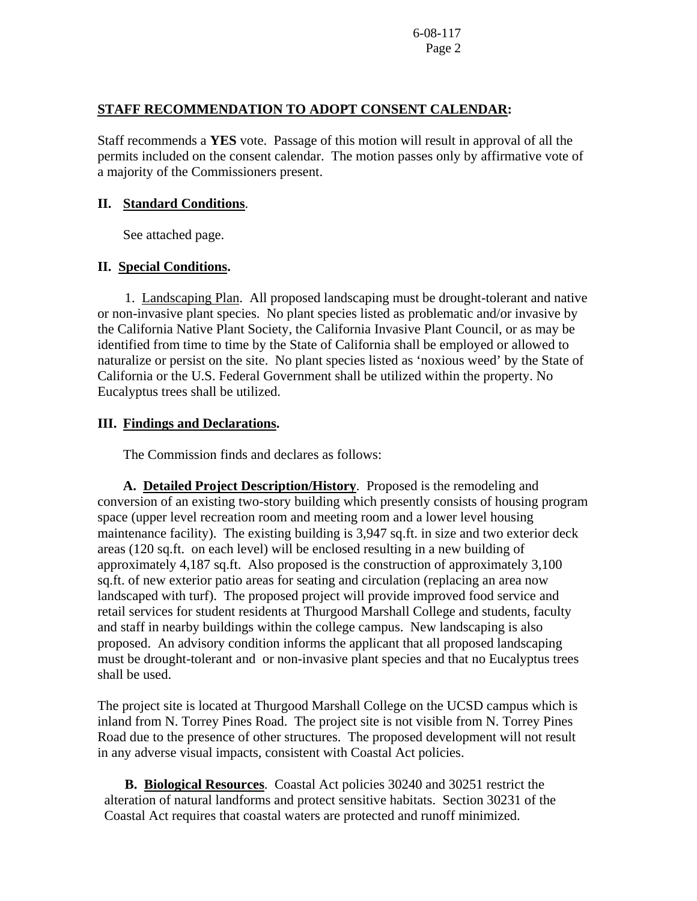## **STAFF RECOMMENDATION TO ADOPT CONSENT CALENDAR:**

Staff recommends a **YES** vote. Passage of this motion will result in approval of all the permits included on the consent calendar. The motion passes only by affirmative vote of a majority of the Commissioners present.

## **II. Standard Conditions**.

See attached page.

# **II. Special Conditions.**

 1. Landscaping Plan. All proposed landscaping must be drought-tolerant and native or non-invasive plant species. No plant species listed as problematic and/or invasive by the California Native Plant Society, the California Invasive Plant Council, or as may be identified from time to time by the State of California shall be employed or allowed to naturalize or persist on the site. No plant species listed as 'noxious weed' by the State of California or the U.S. Federal Government shall be utilized within the property. No Eucalyptus trees shall be utilized.

# **III. Findings and Declarations.**

The Commission finds and declares as follows:

**A. Detailed Project Description/History**. Proposed is the remodeling and conversion of an existing two-story building which presently consists of housing program space (upper level recreation room and meeting room and a lower level housing maintenance facility). The existing building is 3,947 sq.ft. in size and two exterior deck areas (120 sq.ft. on each level) will be enclosed resulting in a new building of approximately 4,187 sq.ft. Also proposed is the construction of approximately 3,100 sq.ft. of new exterior patio areas for seating and circulation (replacing an area now landscaped with turf). The proposed project will provide improved food service and retail services for student residents at Thurgood Marshall College and students, faculty and staff in nearby buildings within the college campus. New landscaping is also proposed. An advisory condition informs the applicant that all proposed landscaping must be drought-tolerant and or non-invasive plant species and that no Eucalyptus trees shall be used.

The project site is located at Thurgood Marshall College on the UCSD campus which is inland from N. Torrey Pines Road. The project site is not visible from N. Torrey Pines Road due to the presence of other structures. The proposed development will not result in any adverse visual impacts, consistent with Coastal Act policies.

 **B. Biological Resources**. Coastal Act policies 30240 and 30251 restrict the alteration of natural landforms and protect sensitive habitats. Section 30231 of the Coastal Act requires that coastal waters are protected and runoff minimized.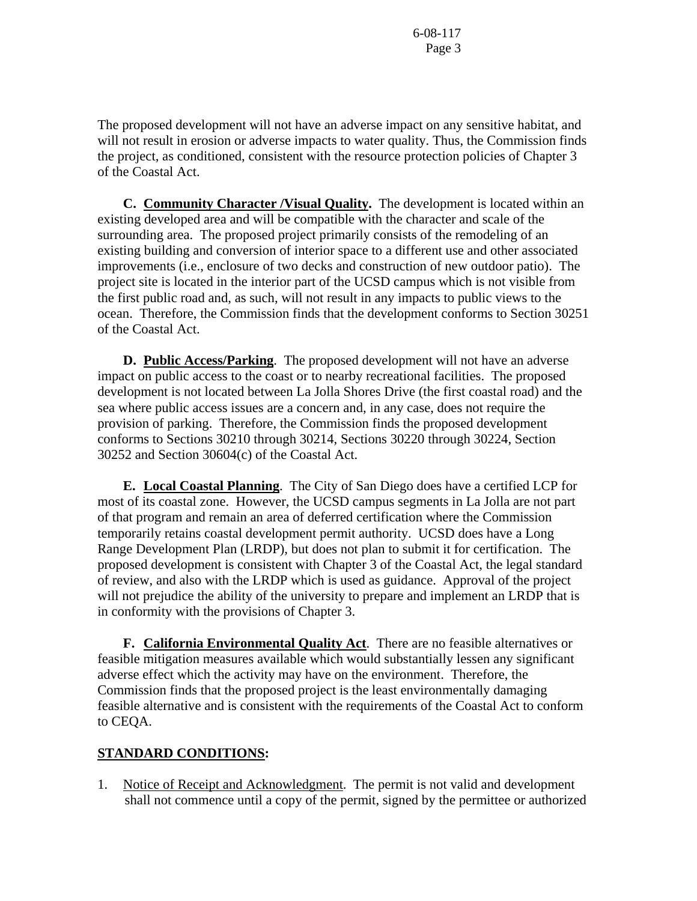The proposed development will not have an adverse impact on any sensitive habitat, and will not result in erosion or adverse impacts to water quality. Thus, the Commission finds the project, as conditioned, consistent with the resource protection policies of Chapter 3 of the Coastal Act.

 **C. Community Character /Visual Quality.** The development is located within an existing developed area and will be compatible with the character and scale of the surrounding area. The proposed project primarily consists of the remodeling of an existing building and conversion of interior space to a different use and other associated improvements (i.e., enclosure of two decks and construction of new outdoor patio). The project site is located in the interior part of the UCSD campus which is not visible from the first public road and, as such, will not result in any impacts to public views to the ocean. Therefore, the Commission finds that the development conforms to Section 30251 of the Coastal Act.

**D. Public Access/Parking**. The proposed development will not have an adverse impact on public access to the coast or to nearby recreational facilities. The proposed development is not located between La Jolla Shores Drive (the first coastal road) and the sea where public access issues are a concern and, in any case, does not require the provision of parking. Therefore, the Commission finds the proposed development conforms to Sections 30210 through 30214, Sections 30220 through 30224, Section 30252 and Section 30604(c) of the Coastal Act.

**E. Local Coastal Planning**. The City of San Diego does have a certified LCP for most of its coastal zone. However, the UCSD campus segments in La Jolla are not part of that program and remain an area of deferred certification where the Commission temporarily retains coastal development permit authority. UCSD does have a Long Range Development Plan (LRDP), but does not plan to submit it for certification. The proposed development is consistent with Chapter 3 of the Coastal Act, the legal standard of review, and also with the LRDP which is used as guidance. Approval of the project will not prejudice the ability of the university to prepare and implement an LRDP that is in conformity with the provisions of Chapter 3.

**F.** California Environmental Quality Act. There are no feasible alternatives or feasible mitigation measures available which would substantially lessen any significant adverse effect which the activity may have on the environment. Therefore, the Commission finds that the proposed project is the least environmentally damaging feasible alternative and is consistent with the requirements of the Coastal Act to conform to CEQA.

# **STANDARD CONDITIONS:**

1. Notice of Receipt and Acknowledgment. The permit is not valid and development shall not commence until a copy of the permit, signed by the permittee or authorized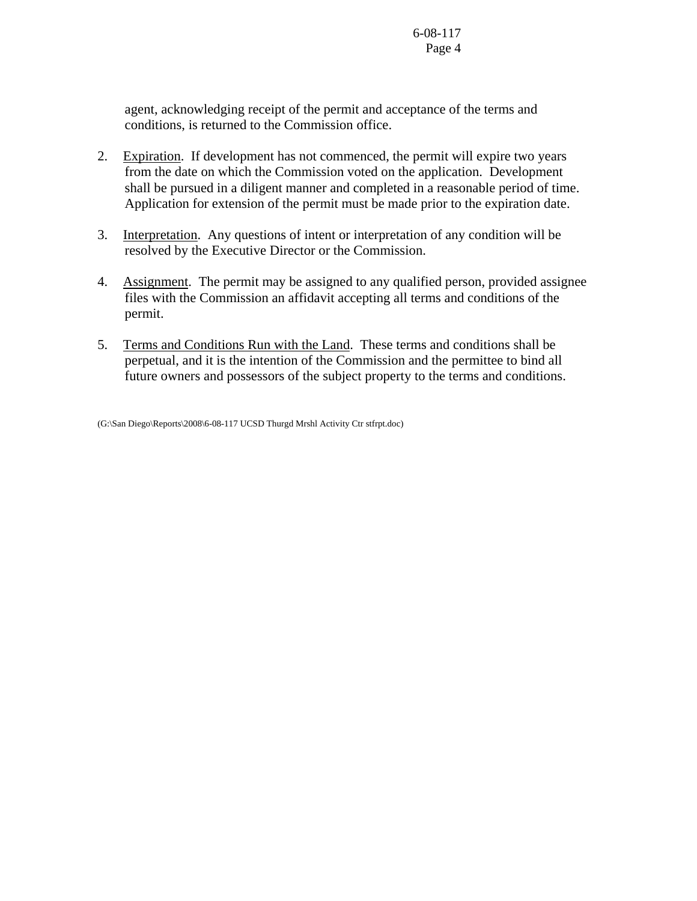agent, acknowledging receipt of the permit and acceptance of the terms and conditions, is returned to the Commission office.

- 2. Expiration. If development has not commenced, the permit will expire two years from the date on which the Commission voted on the application. Development shall be pursued in a diligent manner and completed in a reasonable period of time. Application for extension of the permit must be made prior to the expiration date.
- 3. Interpretation. Any questions of intent or interpretation of any condition will be resolved by the Executive Director or the Commission.
- 4. Assignment. The permit may be assigned to any qualified person, provided assignee files with the Commission an affidavit accepting all terms and conditions of the permit.
- 5. Terms and Conditions Run with the Land. These terms and conditions shall be perpetual, and it is the intention of the Commission and the permittee to bind all future owners and possessors of the subject property to the terms and conditions.

(G:\San Diego\Reports\2008\6-08-117 UCSD Thurgd Mrshl Activity Ctr stfrpt.doc)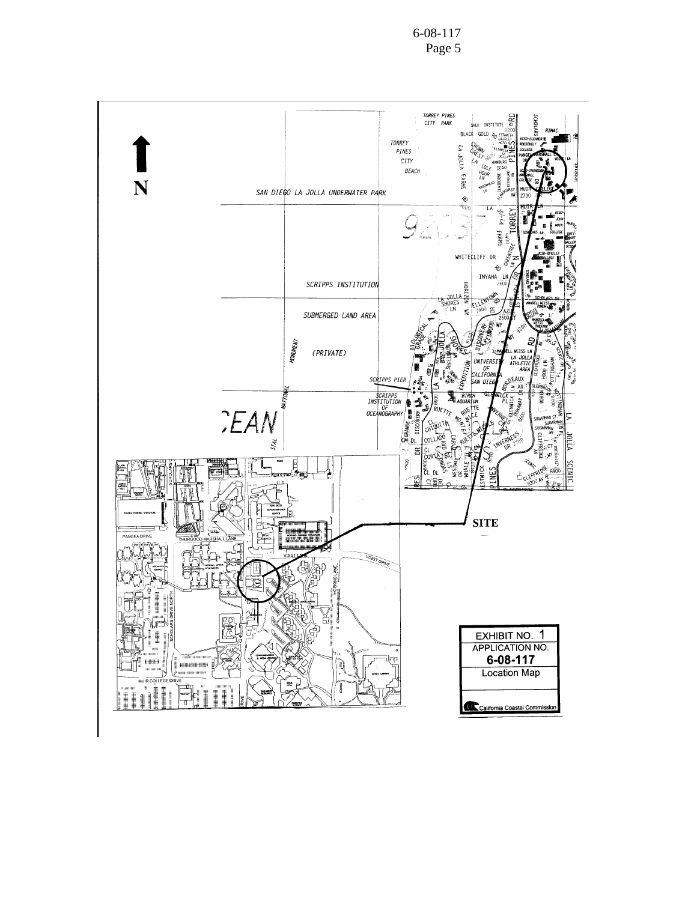